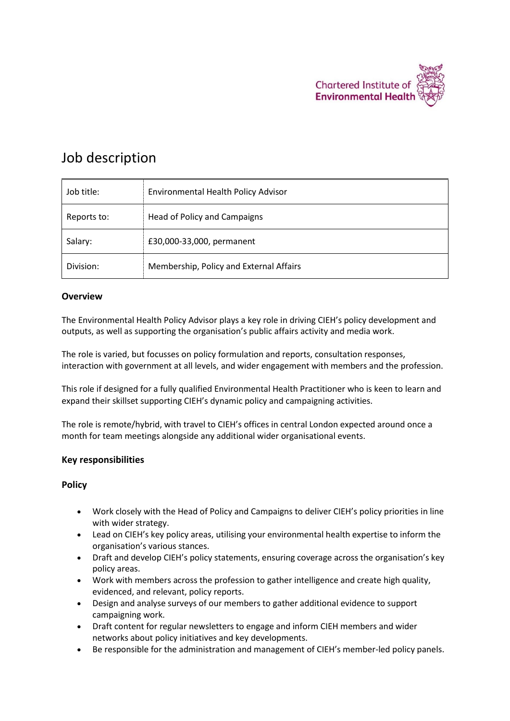

# Job description

| Job title:  | <b>Environmental Health Policy Advisor</b> |
|-------------|--------------------------------------------|
| Reports to: | Head of Policy and Campaigns               |
| Salary:     | £30,000-33,000, permanent                  |
| Division:   | Membership, Policy and External Affairs    |

#### **Overview**

The Environmental Health Policy Advisor plays a key role in driving CIEH's policy development and outputs, as well as supporting the organisation's public affairs activity and media work.

The role is varied, but focusses on policy formulation and reports, consultation responses, interaction with government at all levels, and wider engagement with members and the profession.

This role if designed for a fully qualified Environmental Health Practitioner who is keen to learn and expand their skillset supporting CIEH's dynamic policy and campaigning activities.

The role is remote/hybrid, with travel to CIEH's offices in central London expected around once a month for team meetings alongside any additional wider organisational events.

### **Key responsibilities**

### **Policy**

- Work closely with the Head of Policy and Campaigns to deliver CIEH's policy priorities in line with wider strategy.
- Lead on CIEH's key policy areas, utilising your environmental health expertise to inform the organisation's various stances.
- Draft and develop CIEH's policy statements, ensuring coverage across the organisation's key policy areas.
- Work with members across the profession to gather intelligence and create high quality, evidenced, and relevant, policy reports.
- Design and analyse surveys of our members to gather additional evidence to support campaigning work.
- Draft content for regular newsletters to engage and inform CIEH members and wider networks about policy initiatives and key developments.
- Be responsible for the administration and management of CIEH's member-led policy panels.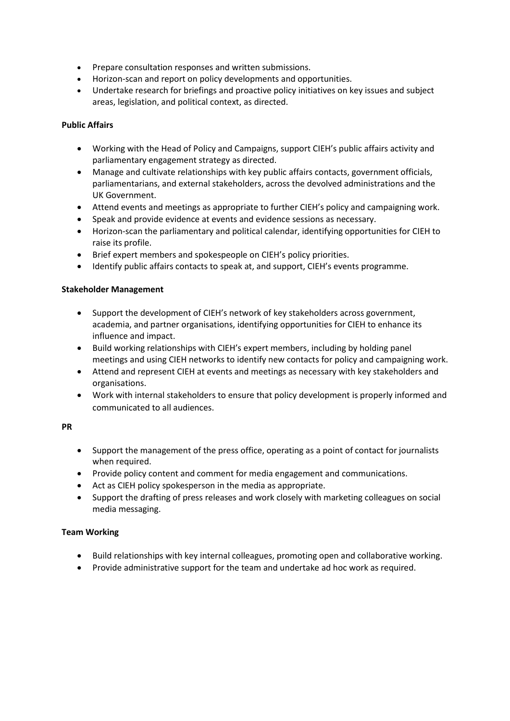- Prepare consultation responses and written submissions.
- Horizon-scan and report on policy developments and opportunities.
- Undertake research for briefings and proactive policy initiatives on key issues and subject areas, legislation, and political context, as directed.

### **Public Affairs**

- Working with the Head of Policy and Campaigns, support CIEH's public affairs activity and parliamentary engagement strategy as directed.
- Manage and cultivate relationships with key public affairs contacts, government officials, parliamentarians, and external stakeholders, across the devolved administrations and the UK Government.
- Attend events and meetings as appropriate to further CIEH's policy and campaigning work.
- Speak and provide evidence at events and evidence sessions as necessary.
- Horizon-scan the parliamentary and political calendar, identifying opportunities for CIEH to raise its profile.
- Brief expert members and spokespeople on CIEH's policy priorities.
- Identify public affairs contacts to speak at, and support, CIEH's events programme.

### **Stakeholder Management**

- Support the development of CIEH's network of key stakeholders across government, academia, and partner organisations, identifying opportunities for CIEH to enhance its influence and impact.
- Build working relationships with CIEH's expert members, including by holding panel meetings and using CIEH networks to identify new contacts for policy and campaigning work.
- Attend and represent CIEH at events and meetings as necessary with key stakeholders and organisations.
- Work with internal stakeholders to ensure that policy development is properly informed and communicated to all audiences.

### **PR**

- Support the management of the press office, operating as a point of contact for journalists when required.
- Provide policy content and comment for media engagement and communications.
- Act as CIEH policy spokesperson in the media as appropriate.
- Support the drafting of press releases and work closely with marketing colleagues on social media messaging.

### **Team Working**

- Build relationships with key internal colleagues, promoting open and collaborative working.
- Provide administrative support for the team and undertake ad hoc work as required.